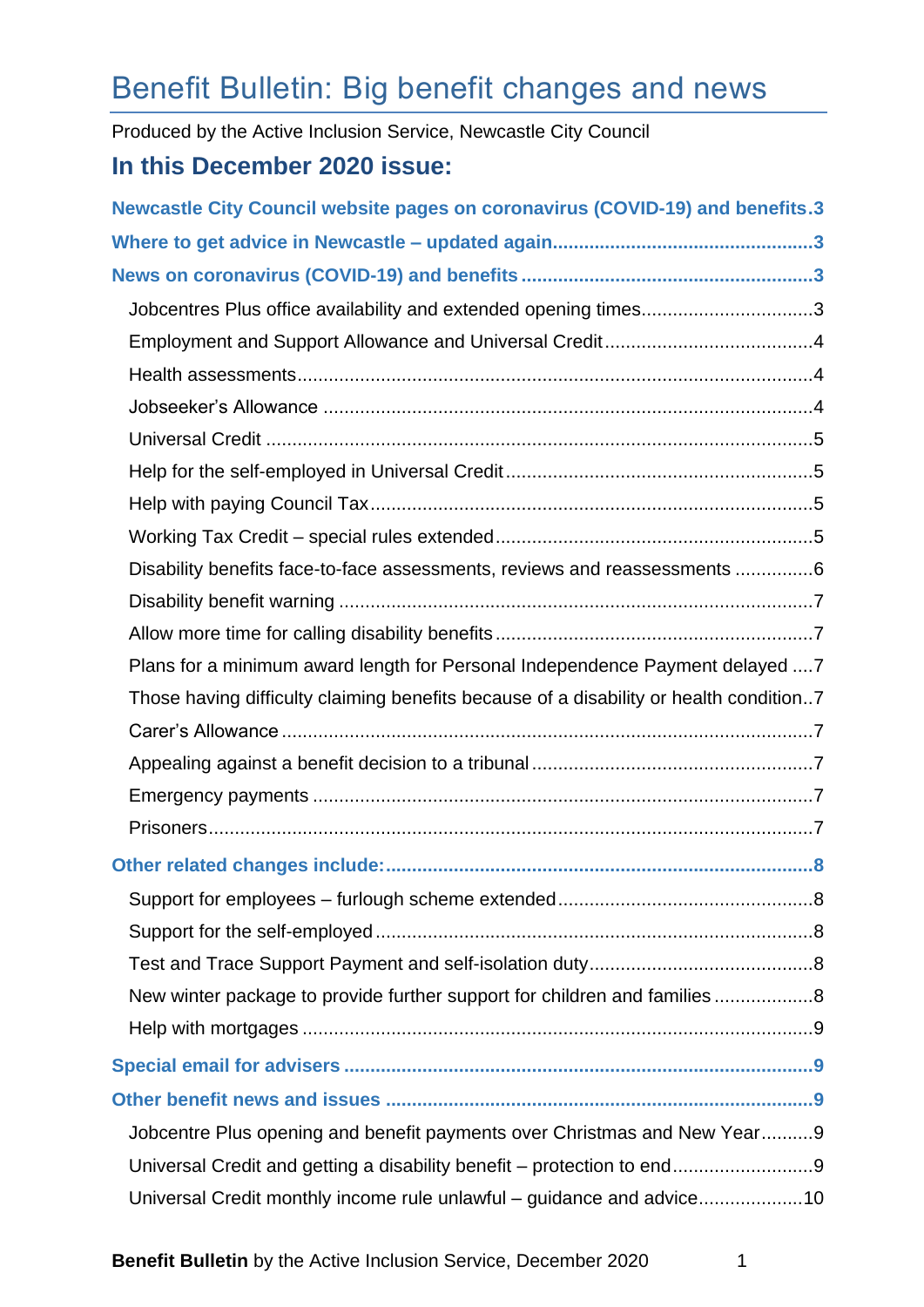# Benefit Bulletin: Big benefit changes and news

Produced by the Active Inclusion Service, Newcastle City Council

# **In this December 2020 issue:**

| <b>Newcastle City Council website pages on coronavirus (COVID-19) and benefits.3</b>   |
|----------------------------------------------------------------------------------------|
|                                                                                        |
|                                                                                        |
| Jobcentres Plus office availability and extended opening times3                        |
|                                                                                        |
|                                                                                        |
|                                                                                        |
|                                                                                        |
|                                                                                        |
|                                                                                        |
|                                                                                        |
| Disability benefits face-to-face assessments, reviews and reassessments 6              |
|                                                                                        |
|                                                                                        |
| Plans for a minimum award length for Personal Independence Payment delayed  7          |
| Those having difficulty claiming benefits because of a disability or health condition7 |
|                                                                                        |
|                                                                                        |
|                                                                                        |
|                                                                                        |
|                                                                                        |
|                                                                                        |
|                                                                                        |
|                                                                                        |
| New winter package to provide further support for children and families8               |
|                                                                                        |
|                                                                                        |
|                                                                                        |
| Jobcentre Plus opening and benefit payments over Christmas and New Year9               |
|                                                                                        |
| Universal Credit monthly income rule unlawful – guidance and advice10                  |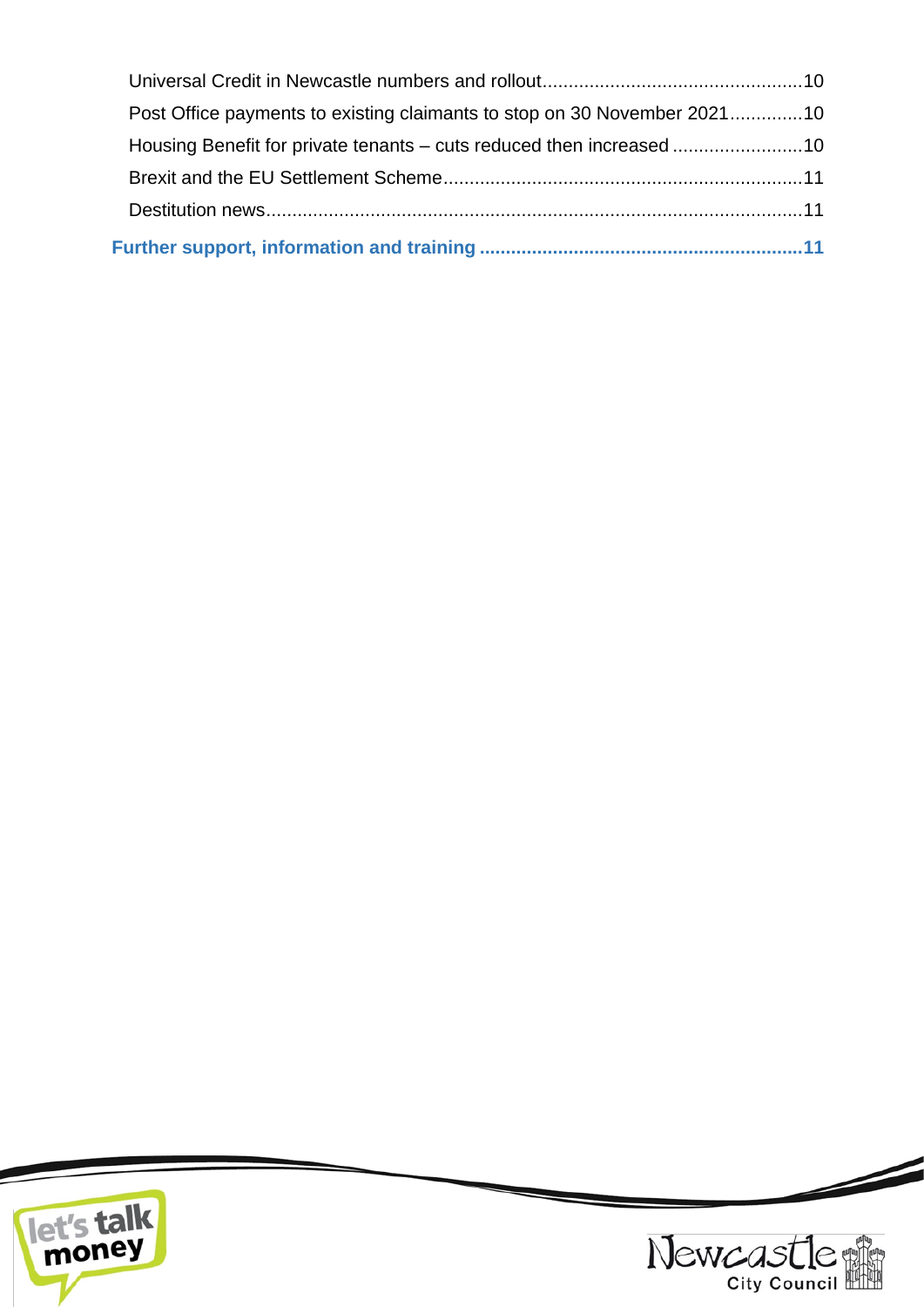| Post Office payments to existing claimants to stop on 30 November 202110 |  |
|--------------------------------------------------------------------------|--|
| Housing Benefit for private tenants – cuts reduced then increased 10     |  |
|                                                                          |  |
|                                                                          |  |
|                                                                          |  |





Z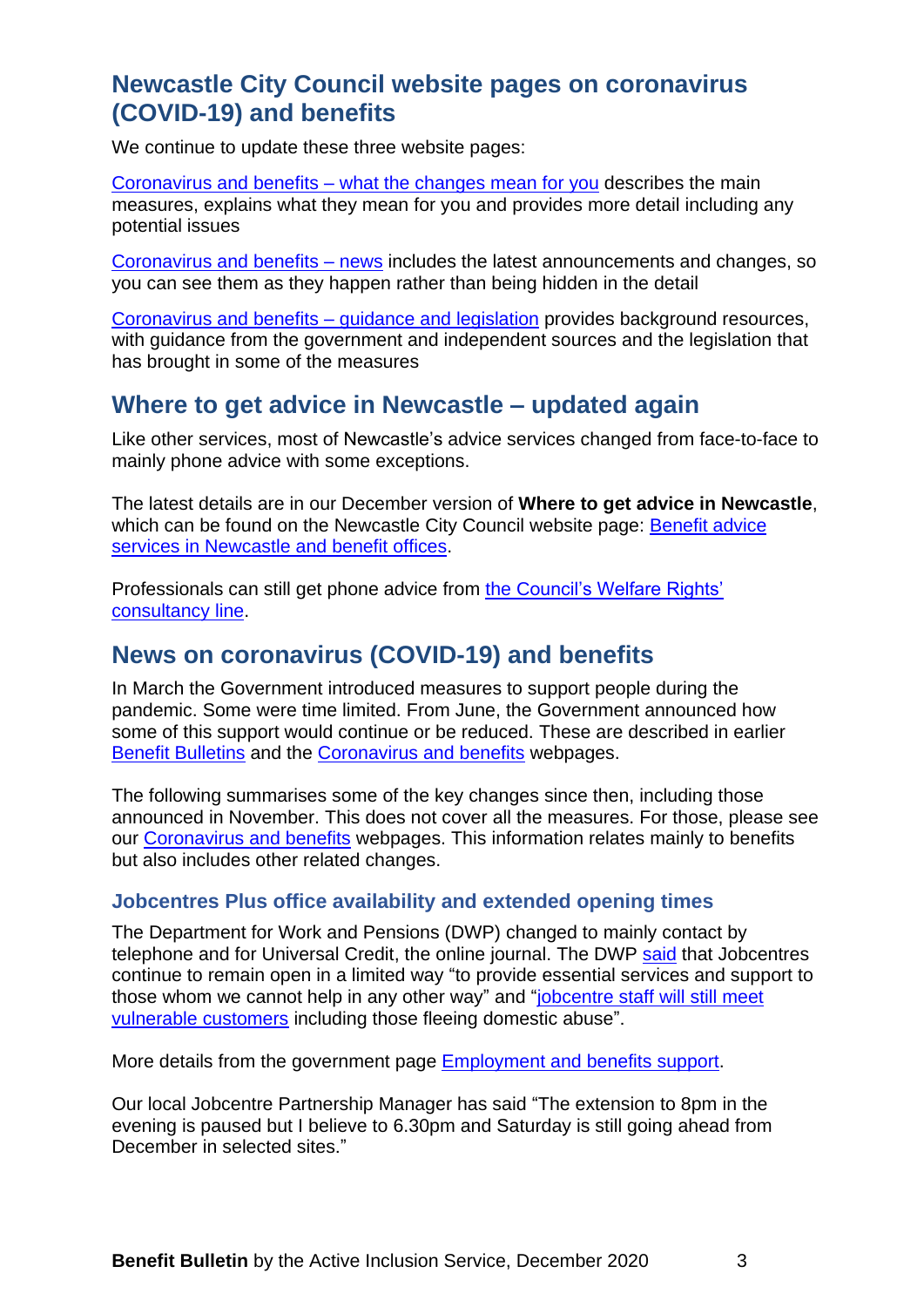# <span id="page-2-0"></span>**Newcastle City Council website pages on coronavirus (COVID-19) and benefits**

We continue to update these three website pages:

Coronavirus and benefits – [what the changes mean for you](https://www.newcastle.gov.uk/services/welfare-benefits/welfare-rights-and-money-advice/coronavirus-and-benefits-what-changes) describes the main measures, explains what they mean for you and provides more detail including any potential issues

[Coronavirus and benefits –](https://www.newcastle.gov.uk/services/coronavirus-and-benefits-news) news includes the latest announcements and changes, so you can see them as they happen rather than being hidden in the detail

[Coronavirus and benefits –](https://www.newcastle.gov.uk/services/coronavirus-and-benefits-guidance-and-legislation) guidance and legislation provides background resources, with guidance from the government and independent sources and the legislation that has brought in some of the measures

# <span id="page-2-1"></span>**Where to get advice in Newcastle – updated again**

Like other services, most of Newcastle's advice services changed from face-to-face to mainly phone advice with some exceptions.

The latest details are in our December version of **Where to get advice in Newcastle**, which can be found on the Newcastle City Council website page: Benefit advice [services in Newcastle and benefit offices.](https://www.newcastle.gov.uk/services/welfare-benefits/welfare-rights-and-money-advice/benefit-advice-services-newcastle-and)

Professionals can still get phone advice from [the Council's Welfare Rights'](https://www.newcastle.gov.uk/services/welfare-benefits/welfare-rights-and-money-advice/information-professionals-and-volunteers#consult)  [consultancy line.](https://www.newcastle.gov.uk/services/welfare-benefits/welfare-rights-and-money-advice/information-professionals-and-volunteers#consult)

# <span id="page-2-2"></span>**News on coronavirus (COVID-19) and benefits**

In March the Government introduced measures to support people during the pandemic. Some were time limited. From June, the Government announced how some of this support would continue or be reduced. These are described in earlier [Benefit Bulletins](https://www.newcastle.gov.uk/services/welfare-benefits/welfare-rights-and-money-advice/information-professionals-and-volunteers#bulletins) and the [Coronavirus and benefits](https://www.newcastle.gov.uk/services/welfare-benefits/welfare-rights-and-money-advice/coronavirus-and-benefits-what-changes) webpages.

The following summarises some of the key changes since then, including those announced in November. This does not cover all the measures. For those, please see our [Coronavirus and benefits](https://www.newcastle.gov.uk/services/welfare-benefits/welfare-rights-and-money-advice/coronavirus-and-benefits-what-changes) webpages. This information relates mainly to benefits but also includes other related changes.

# <span id="page-2-3"></span>**Jobcentres Plus office availability and extended opening times**

The Department for Work and Pensions (DWP) changed to mainly contact by telephone and for Universal Credit, the online journal. The DWP [said](https://www.gov.uk/government/news/jobcentre-guidance-on-new-national-covid-restrictions?utm_source=c8c8329e-7fd3-4f03-b8ff-1fc0fb6ad894&utm_medium=email&utm_campaign=govuk-notifications&utm_content=daily) that Jobcentres continue to remain open in a limited way "to provide essential services and support to those whom we cannot help in any other way" and ["jobcentre staff will still meet](https://www.understandinguniversalcredit.gov.uk/employment-and-benefits-support/faqs/#jobcentreappointments)  [vulnerable customers](https://www.understandinguniversalcredit.gov.uk/employment-and-benefits-support/faqs/#jobcentreappointments) including those fleeing domestic abuse".

More details from the government page [Employment and benefits support.](https://www.understandinguniversalcredit.gov.uk/employment-and-benefits-support/)

Our local Jobcentre Partnership Manager has said "The extension to 8pm in the evening is paused but I believe to 6.30pm and Saturday is still going ahead from December in selected sites."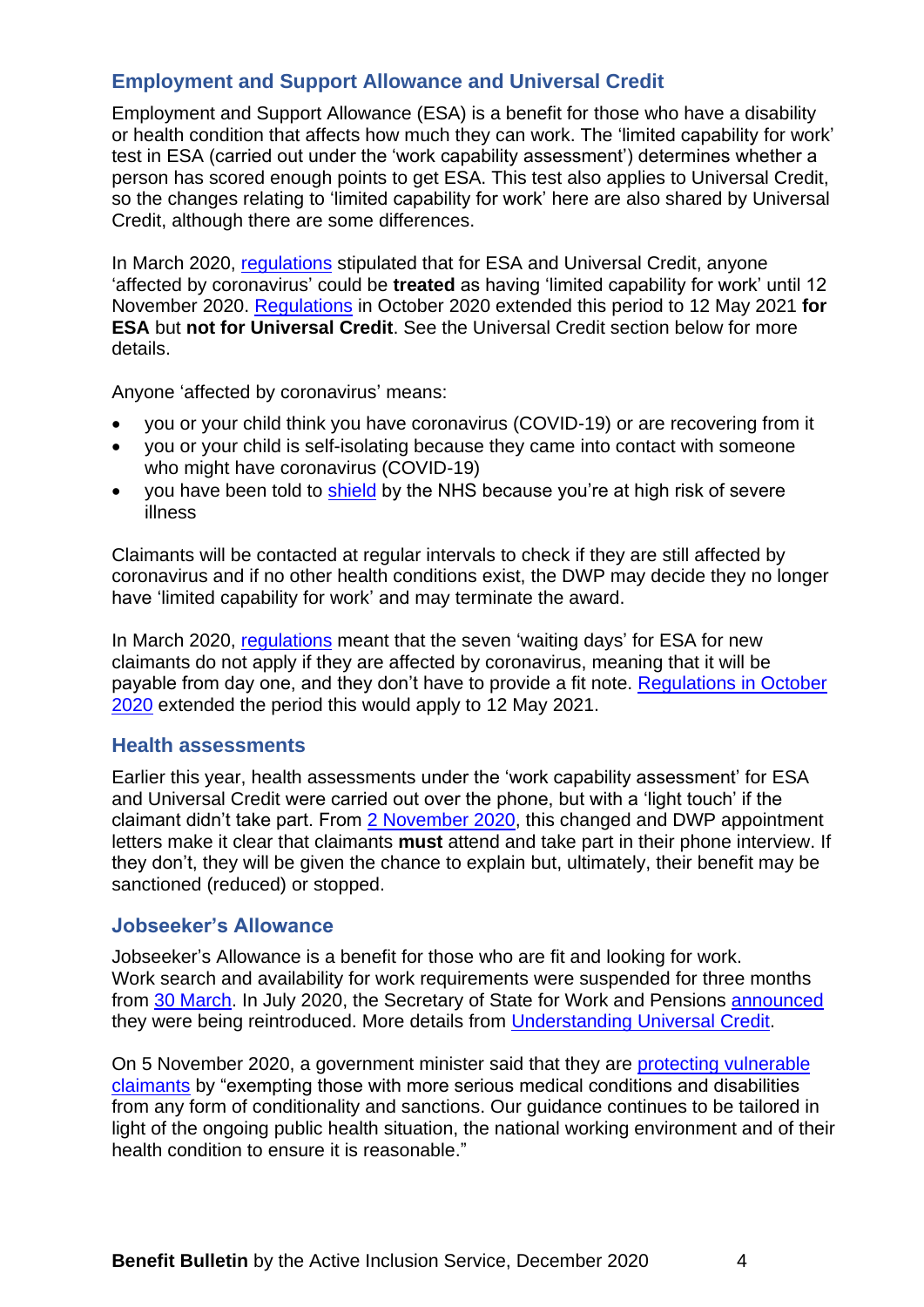# <span id="page-3-0"></span>**Employment and Support Allowance and Universal Credit**

Employment and Support Allowance (ESA) is a benefit for those who have a disability or health condition that affects how much they can work. The 'limited capability for work' test in ESA (carried out under the 'work capability assessment') determines whether a person has scored enough points to get ESA. This test also applies to Universal Credit, so the changes relating to 'limited capability for work' here are also shared by Universal Credit, although there are some differences.

In March 2020, [regulations](https://www.legislation.gov.uk/uksi/2020/289/introduction) stipulated that for ESA and Universal Credit, anyone 'affected by coronavirus' could be **treated** as having 'limited capability for work' until 12 November 2020. [Regulations](https://www.legislation.gov.uk/uksi/2020/1097/made) in October 2020 extended this period to 12 May 2021 **for ESA** but **not for Universal Credit**. See the Universal Credit section below for more details.

Anyone 'affected by coronavirus' means:

- you or your child think you have coronavirus (COVID-19) or are recovering from it
- you or your child is self-isolating because they came into contact with someone who might have coronavirus (COVID-19)
- you have been told to [shield](https://www.gov.uk/coronavirus-extremely-vulnerable) by the NHS because you're at high risk of severe illness

Claimants will be contacted at regular intervals to check if they are still affected by coronavirus and if no other health conditions exist, the DWP may decide they no longer have 'limited capability for work' and may terminate the award.

In March 2020, [regulations](https://www.legislation.gov.uk/uksi/2020/289/contents) meant that the seven 'waiting days' for ESA for new claimants do not apply if they are affected by coronavirus, meaning that it will be payable from day one, and they don't have to provide a fit note. [Regulations in October](https://www.legislation.gov.uk/uksi/2020/1097/made)  [2020](https://www.legislation.gov.uk/uksi/2020/1097/made) extended the period this would apply to 12 May 2021.

#### <span id="page-3-1"></span>**Health assessments**

Earlier this year, health assessments under the 'work capability assessment' for ESA and Universal Credit were carried out over the phone, but with a 'light touch' if the claimant didn't take part. From [2 November 2020,](http://news.dwp.gov.uk/dwplz/lz.aspx?p1=M31DUzMDg4NFMzNDI0OkE5RTREMDZERjczMzMyRkM2QkQ1NkQzMTgzNjA0REE4-&CC=&p=0) this changed and DWP appointment letters make it clear that claimants **must** attend and take part in their phone interview. If they don't, they will be given the chance to explain but, ultimately, their benefit may be sanctioned (reduced) or stopped.

#### <span id="page-3-2"></span>**Jobseeker's Allowance**

Jobseeker's Allowance is a benefit for those who are fit and looking for work. Work search and availability for work requirements were suspended for three months from [30 March.](https://www.gov.uk/government/news/coronavirus-support-for-employees-benefit-claimants-and-businesses) In July 2020, the Secretary of State for Work and Pensions [announced](https://hansard.parliament.uk/commons/2020-06-29/debates/96E905A4-7108-4F01-9654-9173AD957BDB/Covid-19MeetingIncreasedDemandForServices) they were being reintroduced. More details from [Understanding Universal Credit.](https://www.understandinguniversalcredit.gov.uk/new-to-universal-credit/your-responsibilities/)

On 5 November 2020, a government minister said that they are [protecting vulnerable](https://questions-statements.parliament.uk/written-questions/detail/2020-10-30/109349)  [claimants](https://questions-statements.parliament.uk/written-questions/detail/2020-10-30/109349) by "exempting those with more serious medical conditions and disabilities from any form of conditionality and sanctions. Our guidance continues to be tailored in light of the ongoing public health situation, the national working environment and of their health condition to ensure it is reasonable."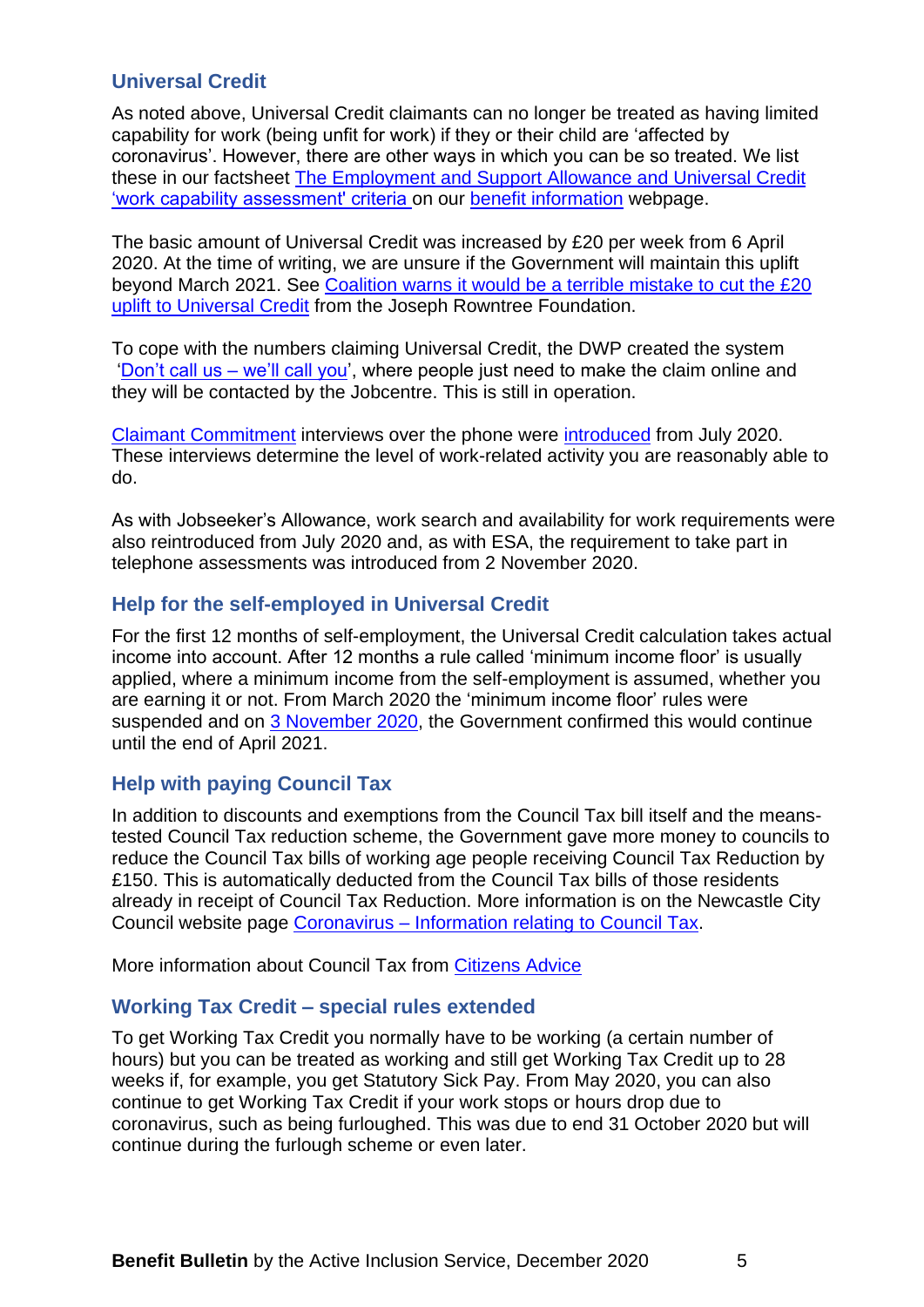# <span id="page-4-0"></span>**Universal Credit**

As noted above, Universal Credit claimants can no longer be treated as having limited capability for work (being unfit for work) if they or their child are 'affected by coronavirus'. However, there are other ways in which you can be so treated. We list these in our factsheet [The Employment and Support Allowance and Universal Credit](https://www.newcastle.gov.uk/sites/default/files/FS1%20%20The%20ESA%20and%20UC%20Work%20Capability%20Assessment%20Dec18_1.pdf)  ['work capability assessment' criteria](https://www.newcastle.gov.uk/sites/default/files/FS1%20%20The%20ESA%20and%20UC%20Work%20Capability%20Assessment%20Dec18_1.pdf) on our [benefit information](https://www.newcastle.gov.uk/services/welfare-benefits/welfare-rights-and-money-advice/benefits-information#factsheets) webpage.

The basic amount of Universal Credit was increased by £20 per week from 6 April 2020. At the time of writing, we are unsure if the Government will maintain this uplift beyond March 2021. See [Coalition warns it would be a terrible mistake to cut the £20](https://www.jrf.org.uk/press/coalition-warns-it-would-be-terrible-mistake-cut-20-uplift-universal-credit)  [uplift to Universal Credit](https://www.jrf.org.uk/press/coalition-warns-it-would-be-terrible-mistake-cut-20-uplift-universal-credit) from the Joseph Rowntree Foundation.

To cope with the numbers claiming Universal Credit, the DWP created the system ['Don't call us –](https://www.gov.uk/government/news/don-t-call-us-we-ll-call-you) we'll call you', where people just need to make the claim online and they will be contacted by the Jobcentre. This is still in operation.

[Claimant Commitment](https://www.gov.uk/government/publications/universal-credit-and-your-claimant-commitment-quick-guide/universal-credit-and-your-claimant-commitment) interviews over the phone were [introduced](https://questions-statements.parliament.uk/written-questions/detail/2020-07-06/69561) from July 2020. These interviews determine the level of work-related activity you are reasonably able to do.

As with Jobseeker's Allowance, work search and availability for work requirements were also reintroduced from July 2020 and, as with ESA, the requirement to take part in telephone assessments was introduced from 2 November 2020.

# <span id="page-4-1"></span>**Help for the self-employed in Universal Credit**

For the first 12 months of self-employment, the Universal Credit calculation takes actual income into account. After 12 months a rule called 'minimum income floor' is usually applied, where a minimum income from the self-employment is assumed, whether you are earning it or not. From March 2020 the 'minimum income floor' rules were suspended and on [3 November 2020,](https://www.gov.uk/government/news/government-extends-extra-welfare-support-for-self-employed-for-further-six-months) the Government confirmed this would continue until the end of April 2021.

# <span id="page-4-2"></span>**Help with paying Council Tax**

In addition to discounts and exemptions from the Council Tax bill itself and the meanstested Council Tax reduction scheme, the Government gave more money to councils to reduce the Council Tax bills of working age people receiving Council Tax Reduction by £150. This is automatically deducted from the Council Tax bills of those residents already in receipt of Council Tax Reduction. More information is on the Newcastle City Council website page Coronavirus – [Information relating to Council Tax.](https://www.newcastle.gov.uk/services/council-tax/council-tax-exemptions/coronavirus-information-relating-council-tax)

<span id="page-4-3"></span>More information about Council Tax from [Citizens Advice](https://www.citizensadvice.org.uk/housing/council-tax/council-tax/)

#### **Working Tax Credit – special rules extended**

To get Working Tax Credit you normally have to be working (a certain number of hours) but you can be treated as working and still get Working Tax Credit up to 28 weeks if, for example, you get Statutory Sick Pay. From May 2020, you can also continue to get Working Tax Credit if your work stops or hours drop due to coronavirus, such as being furloughed. This was due to end 31 October 2020 but will continue during the furlough scheme or even later.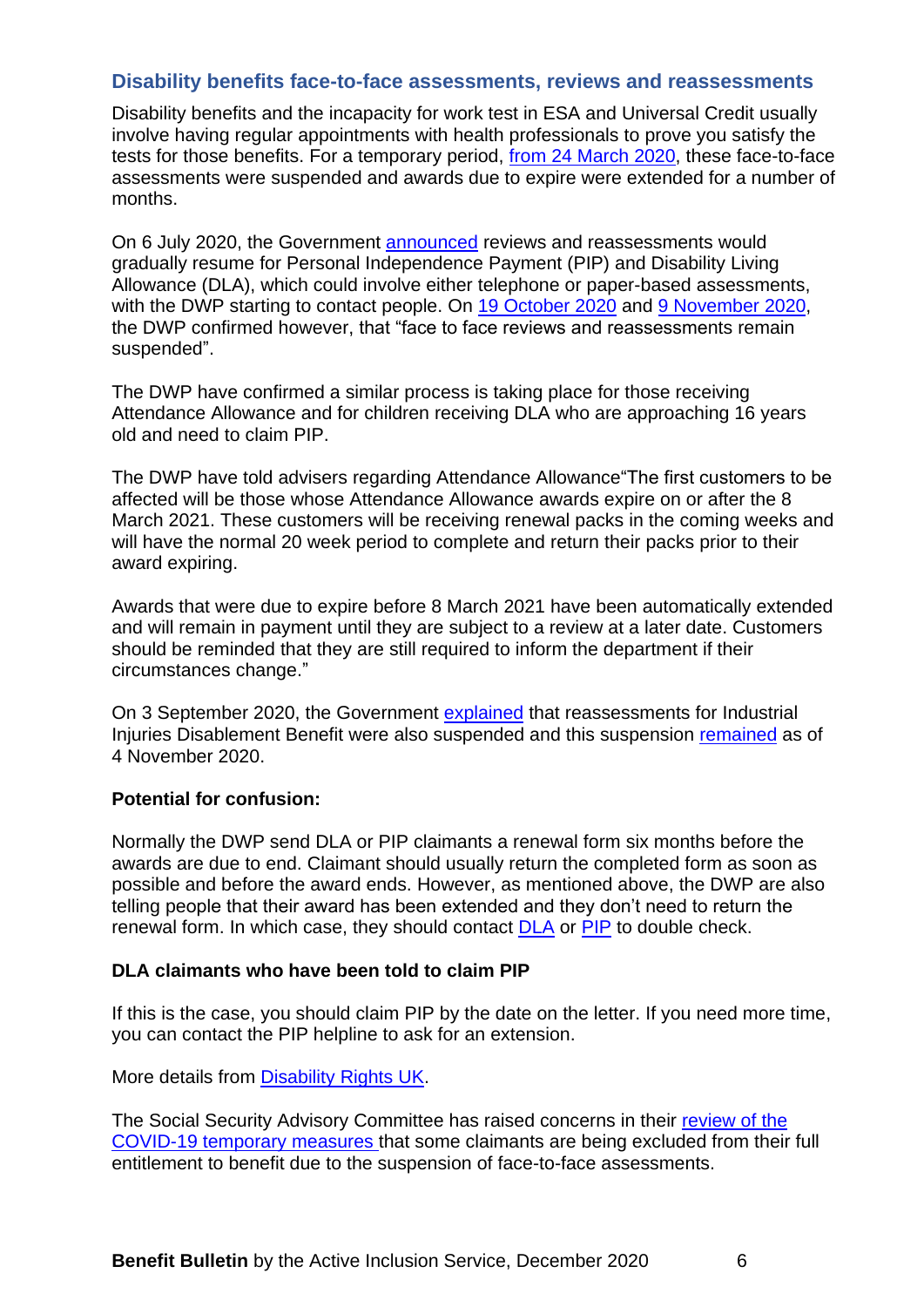### <span id="page-5-0"></span>**Disability benefits face-to-face assessments, reviews and reassessments**

Disability benefits and the incapacity for work test in ESA and Universal Credit usually involve having regular appointments with health professionals to prove you satisfy the tests for those benefits. For a temporary period, [from 24 March 2020,](https://www.gov.uk/government/news/coronavirus-update-benefit-reviews-and-reassessments-suspended) these face-to-face assessments were suspended and awards due to expire were extended for a number of months.

On 6 July 2020, the Government [announced](https://www.gov.uk/government/news/face-to-face-assessment-suspension-continues-for-health-and-disability-benefits) reviews and reassessments would gradually resume for Personal Independence Payment (PIP) and Disability Living Allowance (DLA), which could involve either telephone or paper-based assessments, with the DWP starting to contact people. On [19 October 2020](https://hansard.parliament.uk/Commons/2020-10-19/debates/2922C123-8D2E-4B88-BAF9-EF72FDA6BC89/OralAnswersToQuestions#contribution-E20EC311-46A8-43D6-AB86-DB2C5C0253A1) and [9 November 2020,](https://www.gov.uk/government/news/jobcentre-guidance-on-new-national-covid-restrictions?utm_source=c8c8329e-7fd3-4f03-b8ff-1fc0fb6ad894&utm_medium=email&utm_campaign=govuk-notifications&utm_content=daily) the DWP confirmed however, that "face to face reviews and reassessments remain suspended".

The DWP have confirmed a similar process is taking place for those receiving Attendance Allowance and for children receiving DLA who are approaching 16 years old and need to claim PIP.

The DWP have told advisers regarding Attendance Allowance"The first customers to be affected will be those whose Attendance Allowance awards expire on or after the 8 March 2021. These customers will be receiving renewal packs in the coming weeks and will have the normal 20 week period to complete and return their packs prior to their award expiring.

Awards that were due to expire before 8 March 2021 have been automatically extended and will remain in payment until they are subject to a review at a later date. Customers should be reminded that they are still required to inform the department if their circumstances change."

On 3 September 2020, the Government [explained](https://questions-statements.parliament.uk/written-questions/detail/2020-08-28/82089) that reassessments for Industrial Injuries Disablement Benefit were also suspended and this suspension [remained](https://questions-statements.parliament.uk/written-questions/detail/2020-10-30/109340) as of 4 November 2020.

#### **Potential for confusion:**

Normally the DWP send DLA or PIP claimants a renewal form six months before the awards are due to end. Claimant should usually return the completed form as soon as possible and before the award ends. However, as mentioned above, the DWP are also telling people that their award has been extended and they don't need to return the renewal form. In which case, they should contact [DLA](https://www.gov.uk/dla-disability-living-allowance-benefit) or [PIP](https://www.gov.uk/pip) to double check.

#### **DLA claimants who have been told to claim PIP**

If this is the case, you should claim PIP by the date on the letter. If you need more time, you can contact the PIP helpline to ask for an extension.

More details from [Disability Rights UK.](https://www.disabilityrightsuk.org/news/2020/july/suspension-pip-and-esa-face-face-assessments-continues-kept-under-review)

The Social Security Advisory Committee has raised concerns in their [review of the](https://www.gov.uk/government/publications/a-review-of-the-covid-19-temporary-measures/a-review-of-the-covid-19-temporary-measures-occasional-paper-24)  [COVID-19 temporary measures](https://www.gov.uk/government/publications/a-review-of-the-covid-19-temporary-measures/a-review-of-the-covid-19-temporary-measures-occasional-paper-24) that some claimants are being excluded from their full entitlement to benefit due to the suspension of face-to-face assessments.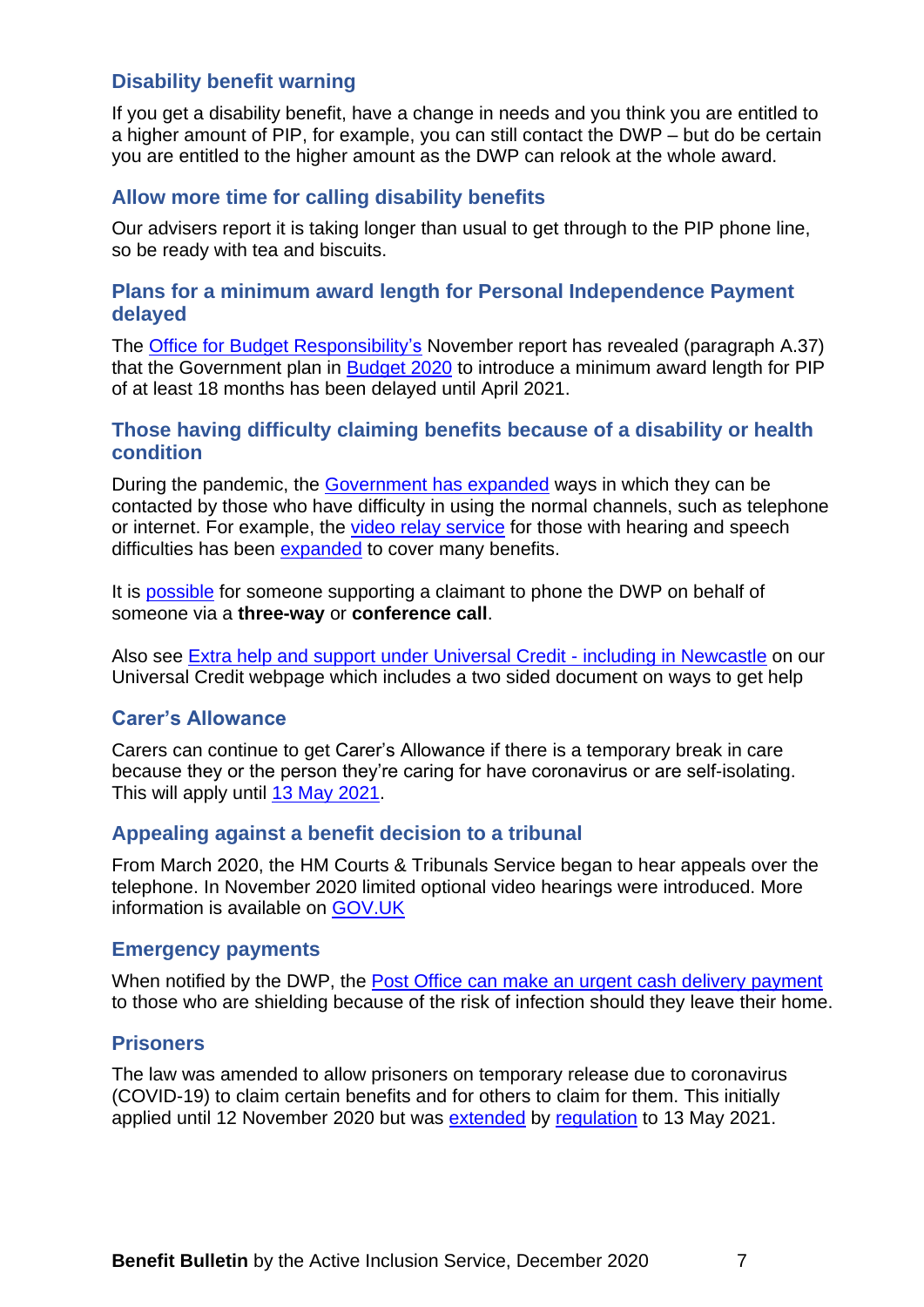# <span id="page-6-0"></span>**Disability benefit warning**

If you get a disability benefit, have a change in needs and you think you are entitled to a higher amount of PIP, for example, you can still contact the DWP – but do be certain you are entitled to the higher amount as the DWP can relook at the whole award.

# <span id="page-6-1"></span>**Allow more time for calling disability benefits**

Our advisers report it is taking longer than usual to get through to the PIP phone line, so be ready with tea and biscuits.

### <span id="page-6-2"></span>**Plans for a minimum award length for Personal Independence Payment delayed**

The [Office for Budget Responsibility'](https://obr.uk/efo/economic-and-fiscal-outlook-november-2020/)s November report has revealed (paragraph A.37) that the Government plan in [Budget 2020](https://www.gov.uk/government/publications/budget-2020-documents) to introduce a minimum award length for PIP of at least 18 months has been delayed until April 2021.

#### <span id="page-6-3"></span>**Those having difficulty claiming benefits because of a disability or health condition**

During the pandemic, the [Government has expanded](https://www.gov.uk/guidance/get-help-with-benefits-and-pensions-if-you-have-accessibility-needs) ways in which they can be contacted by those who have difficulty in using the normal channels, such as telephone or internet. For example, the [video relay service](https://main.signvideo.me/app/8/10031) for those with hearing and speech difficulties has been [expanded](http://news.dwp.gov.uk/dwplz/lz.aspx?p1=M31DUzMDg4NFMzNDI0OkE5RTREMDZERjczMzMyRkM2QkQ1NkQzMTgzNjA0REE4-&CC=&p=0) to cover many benefits.

It is [possible](https://www.gov.uk/pip/how-to-claim) for someone supporting a claimant to phone the DWP on behalf of someone via a **three-way** or **conference call**.

Also see [Extra help and support under Universal Credit -](https://www.newcastle.gov.uk/services/welfare-benefits/welfare-rights-and-money-advice/changes-benefits-system/universal-credit#extra) including in Newcastle on our Universal Credit webpage which includes a two sided document on ways to get help

# <span id="page-6-4"></span>**Carer's Allowance**

Carers can continue to get Carer's Allowance if there is a temporary break in care because they or the person they're caring for have coronavirus or are self-isolating. This will apply until [13 May 2021.](https://www.legislation.gov.uk/uksi/2020/1201/introduction/made)

# <span id="page-6-5"></span>**Appealing against a benefit decision to a tribunal**

From March 2020, the HM Courts & Tribunals Service began to hear appeals over the telephone. In November 2020 limited optional video hearings were introduced. More information is available on [GOV.UK](https://www.gov.uk/guidance/coronavirus-covid-19-courts-and-tribunals-planning-and-preparation)

#### <span id="page-6-6"></span>**Emergency payments**

When notified by the DWP, the [Post Office can make an urgent](http://corporate.postoffice.co.uk/our-media-centre#/pressreleases/post-office-launches-new-cash-delivery-option-to-help-the-most-vulnerable-2993187) cash delivery payment to those who are shielding because of the risk of infection should they leave their home.

# <span id="page-6-7"></span>**Prisoners**

The law was amended to allow prisoners on temporary release due to coronavirus (COVID-19) to claim certain benefits and for others to claim for them. This initially applied until 12 November 2020 but was [extended](https://assets.publishing.service.gov.uk/government/uploads/system/uploads/attachment_data/file/935564/m-07-20.pdf) by [regulation](https://www.legislation.gov.uk/uksi/2020/1156/note/made) to 13 May 2021.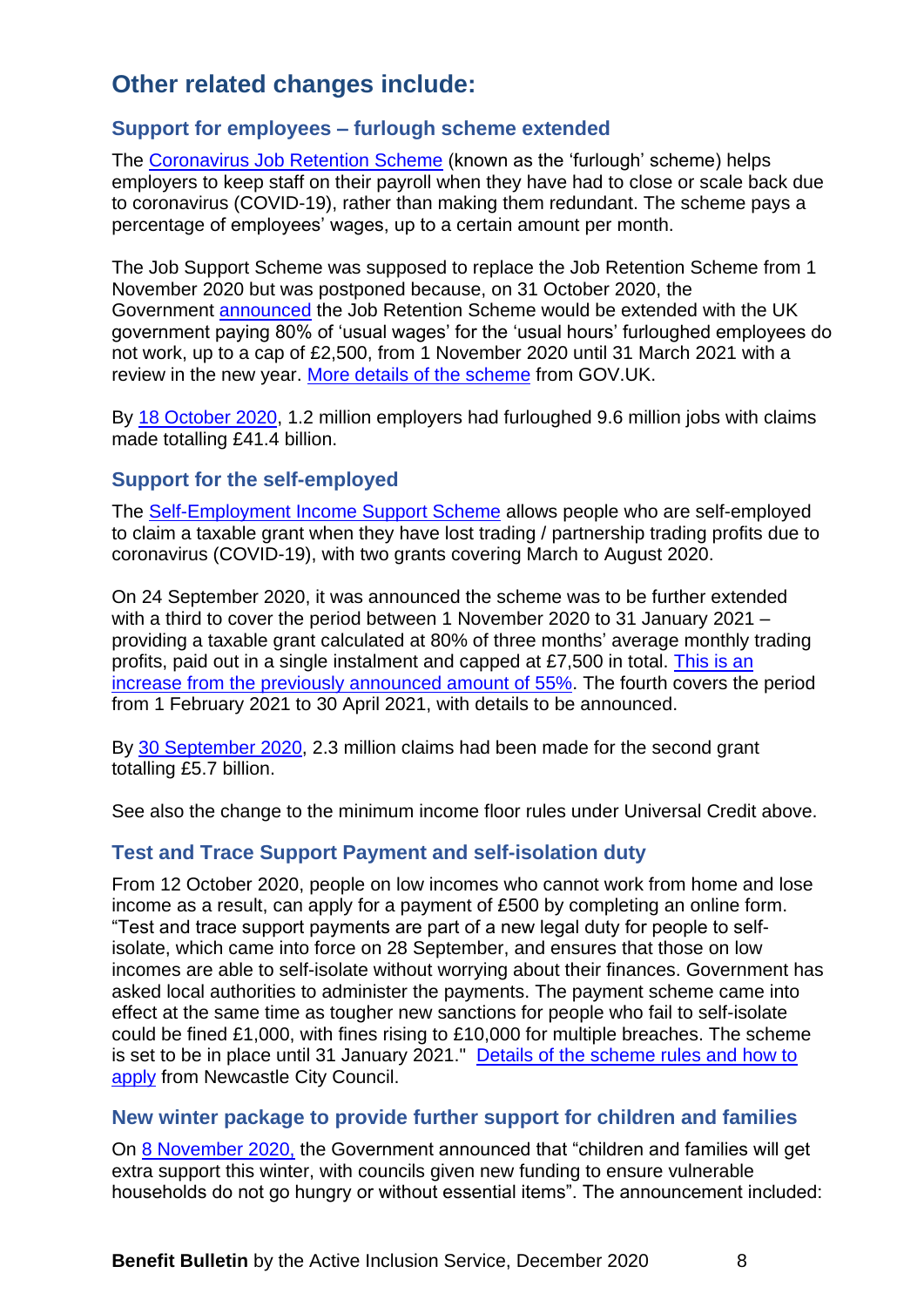# <span id="page-7-0"></span>**Other related changes include:**

# <span id="page-7-1"></span>**Support for employees – furlough scheme extended**

The [Coronavirus Job Retention Scheme](https://www.gov.uk/guidance/claim-for-wages-through-the-coronavirus-job-retention-scheme) (known as the 'furlough' scheme) helps employers to keep staff on their payroll when they have had to close or scale back due to coronavirus (COVID-19), rather than making them redundant. The scheme pays a percentage of employees' wages, up to a certain amount per month.

The Job Support Scheme was supposed to replace the Job Retention Scheme from 1 November 2020 but was postponed because, on 31 October 2020, the Government [announced](https://www.gov.uk/government/news/furlough-scheme-extended-and-further-economic-support-announced) the Job Retention Scheme would be extended with the UK government paying 80% of 'usual wages' for the 'usual hours' furloughed employees do not work, up to a cap of £2,500, from 1 November 2020 until 31 March 2021 with a review in the new year. [More details of the scheme](https://www.gov.uk/guidance/claim-for-wages-through-the-coronavirus-job-retention-scheme) from GOV.UK.

By [18 October 2020,](https://www.gov.uk/government/collections/hmrc-coronavirus-covid-19-statistics) 1.2 million employers had furloughed 9.6 million jobs with claims made totalling £41.4 billion.

# <span id="page-7-2"></span>**Support for the self-employed**

The [Self-Employment Income Support Scheme](https://www.gov.uk/guidance/claim-a-grant-through-the-coronavirus-covid-19-self-employment-income-support-scheme) allows people who are self-employed to claim a taxable grant when they have lost trading / partnership trading profits due to coronavirus (COVID-19), with two grants covering March to August 2020.

On 24 September 2020, it was announced the scheme was to be further extended with a third to cover the period between 1 November 2020 to 31 January 2021 – providing a taxable grant calculated at 80% of three months' average monthly trading profits, paid out in a single instalment and capped at £7,500 in total. [This is an](https://www.gov.uk/government/publications/self-employment-income-support-scheme-grant-extension/self-employment-income-support-scheme-grant-extension)  [increase from the previously announced amount of 55%.](https://www.gov.uk/government/publications/self-employment-income-support-scheme-grant-extension/self-employment-income-support-scheme-grant-extension) The fourth covers the period from 1 February 2021 to 30 April 2021, with details to be announced.

By [30 September 2020,](https://www.gov.uk/government/publications/self-employment-income-support-scheme-statistics-october-2020/self-employment-income-support-scheme-statistics-october-2020) 2.3 million claims had been made for the second grant totalling £5.7 billion.

See also the change to the minimum income floor rules under Universal Credit above.

# <span id="page-7-3"></span>**Test and Trace Support Payment and self-isolation duty**

From 12 October 2020, people on low incomes who cannot work from home and lose income as a result, can apply for a payment of £500 by completing an online form. "Test and trace support payments are part of a new legal duty for people to selfisolate, which came into force on 28 September, and ensures that those on low incomes are able to self-isolate without worrying about their finances. Government has asked local authorities to administer the payments. The payment scheme came into effect at the same time as tougher new sanctions for people who fail to self-isolate could be fined £1,000, with fines rising to £10,000 for multiple breaches. The scheme is set to be in place until 31 January 2021." Details of the scheme rules and how to [apply](https://www.newcastle.gov.uk/citylife-news/ps500-payment-scheme-launched-people-who-must-self-isolate?utm_source=Facebook&utm_medium=social&utm_campaign=SocialSignIn&utm_content=Coronavirus) from Newcastle City Council.

#### <span id="page-7-4"></span>**New winter package to provide further support for children and families**

On [8 November 2020,](https://www.gov.uk/government/news/new-winter-package-to-provide-further-support-for-children-and-families?utm_source=9aeed473-f5b0-4cc5-861d-7a702385cabd&utm_medium=email&utm_campaign=govuk-notifications&utm_content=daily) the Government announced that "children and families will get extra support this winter, with councils given new funding to ensure vulnerable households do not go hungry or without essential items". The announcement included: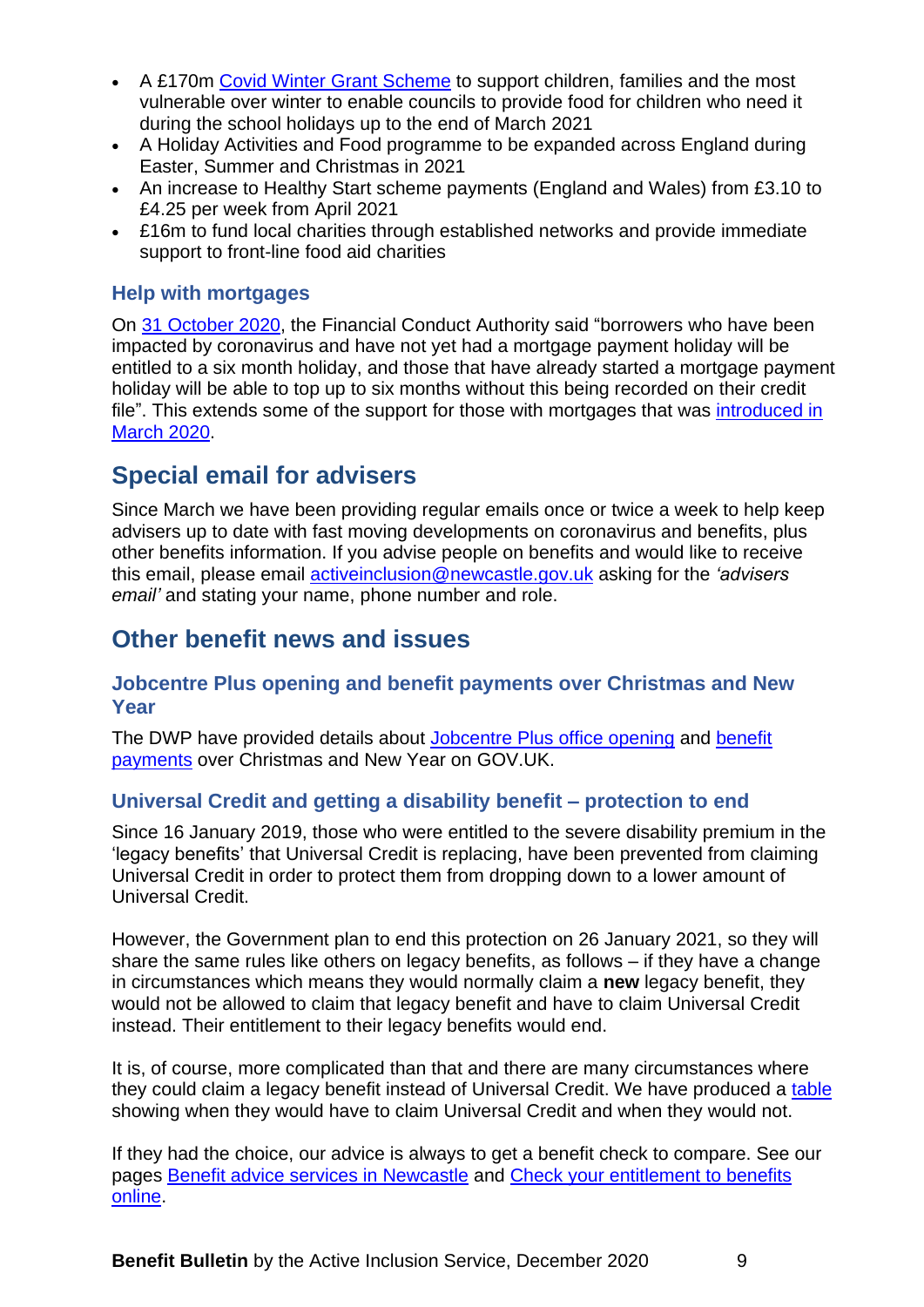- A £170m [Covid Winter Grant Scheme](https://www.gov.uk/government/publications/covid-winter-grant-scheme?utm_source=09f73ced-e9f6-4cf8-ab51-5ed054b38dcf&utm_medium=email&utm_campaign=govuk-notifications&utm_content=daily) to support children, families and the most vulnerable over winter to enable councils to provide food for children who need it during the school holidays up to the end of March 2021
- A Holiday Activities and Food programme to be expanded across England during Easter, Summer and Christmas in 2021
- An increase to Healthy Start scheme payments (England and Wales) from £3.10 to £4.25 per week from April 2021
- £16m to fund local charities through established networks and provide immediate support to front-line food aid charities

# <span id="page-8-0"></span>**Help with mortgages**

On [31 October 2020,](https://www.fca.org.uk/publications/finalised-guidance/finalised-guidance-mortgages-and-coronavirus-updated-guidance-firms) the Financial Conduct Authority said "borrowers who have been impacted by coronavirus and have not yet had a mortgage payment holiday will be entitled to a six month holiday, and those that have already started a mortgage payment holiday will be able to top up to six months without this being recorded on their credit file". This extends some of the support for those with mortgages that was [introduced in](https://www.gov.uk/government/news/complete-ban-on-evictions-and-additional-protection-for-renters)  [March 2020.](https://www.gov.uk/government/news/complete-ban-on-evictions-and-additional-protection-for-renters)

# <span id="page-8-1"></span>**Special email for advisers**

Since March we have been providing regular emails once or twice a week to help keep advisers up to date with fast moving developments on coronavirus and benefits, plus other benefits information. If you advise people on benefits and would like to receive this email, please email [activeinclusion@newcastle.gov.uk](mailto:activeinclusion@newcastle.gov.uk) asking for the *'advisers email'* and stating your name, phone number and role.

# <span id="page-8-2"></span>**Other benefit news and issues**

# <span id="page-8-3"></span>**Jobcentre Plus opening and benefit payments over Christmas and New Year**

The DWP have provided details about [Jobcentre Plus office opening](https://www.gov.uk/contact-jobcentre-plus/christmas-and-new-year-opening) and [benefit](https://www.gov.uk/how-to-have-your-benefits-paid) [payments](https://www.gov.uk/how-to-have-your-benefits-paid) over Christmas and New Year on GOV.UK.

# <span id="page-8-4"></span>**Universal Credit and getting a disability benefit – protection to end**

Since 16 January 2019, those who were entitled to the severe disability premium in the 'legacy benefits' that Universal Credit is replacing, have been prevented from claiming Universal Credit in order to protect them from dropping down to a lower amount of Universal Credit.

However, the Government plan to end this protection on 26 January 2021, so they will share the same rules like others on legacy benefits, as follows – if they have a change in circumstances which means they would normally claim a **new** legacy benefit, they would not be allowed to claim that legacy benefit and have to claim Universal Credit instead. Their entitlement to their legacy benefits would end.

It is, of course, more complicated than that and there are many circumstances where they could claim a legacy benefit instead of Universal Credit. We have produced a [table](https://www.newcastle.gov.uk/services/welfare-benefits/welfare-rights-and-money-advice/changes-benefits-system/universal-credit#howthis) showing when they would have to claim Universal Credit and when they would not.

If they had the choice, our advice is always to get a benefit check to compare. See our pages [Benefit advice services in Newcastle](https://www.newcastle.gov.uk/services/welfare-benefits/welfare-rights-and-money-advice/check-your-entitlement-benefits-online) and [Check your entitlement to benefits](https://www.newcastle.gov.uk/services/welfare-benefits/welfare-rights-and-money-advice/check-your-entitlement-benefits-online)  [online.](https://www.newcastle.gov.uk/services/welfare-benefits/welfare-rights-and-money-advice/check-your-entitlement-benefits-online)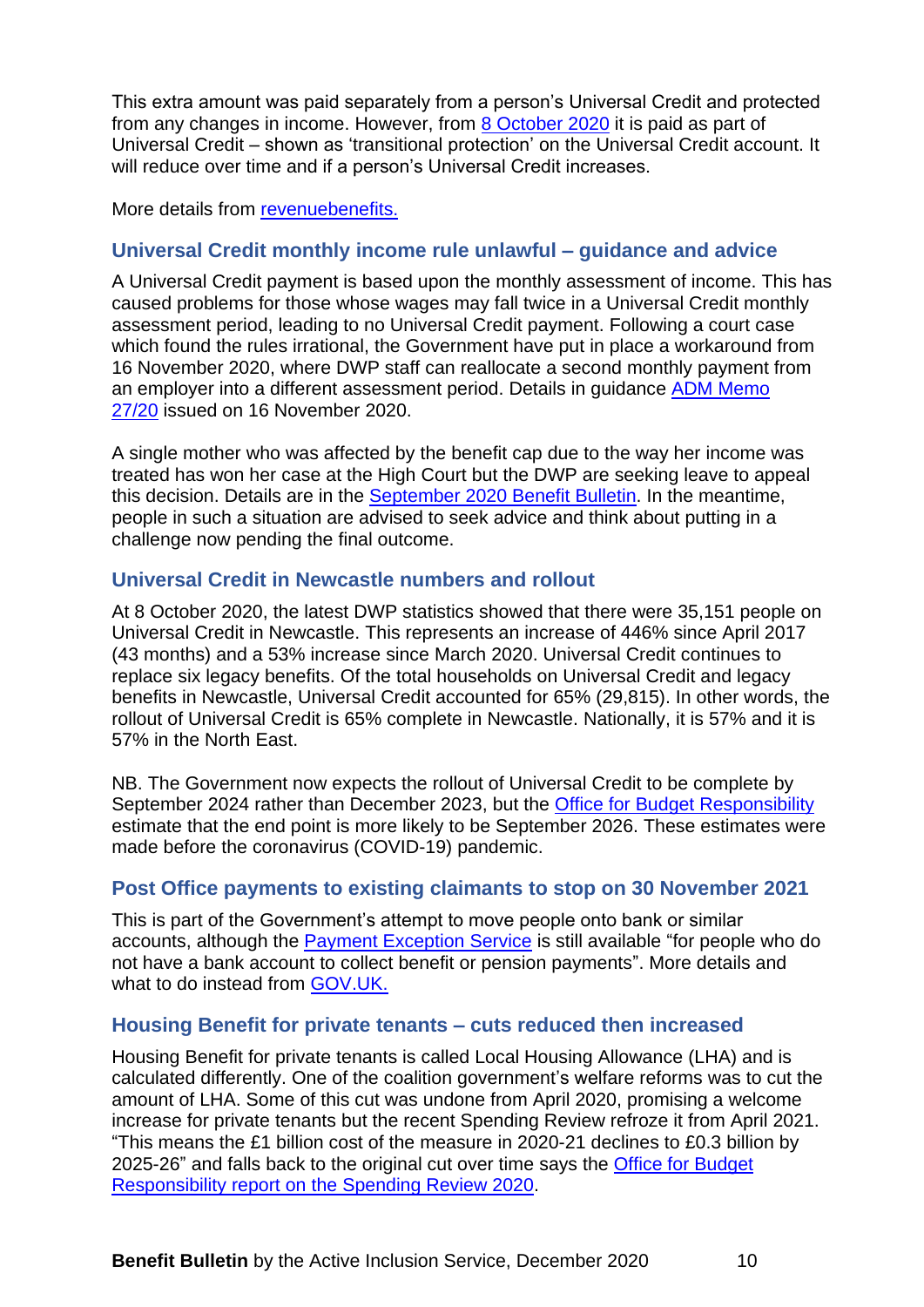This extra amount was paid separately from a person's Universal Credit and protected from any changes in income. However, from [8 October 2020](https://questions-statements.parliament.uk/written-statements/detail/2020-09-17/hcws454) it is paid as part of Universal Credit – shown as 'transitional protection' on the Universal Credit account. It will reduce over time and if a person's Universal Credit increases.

More details from [revenuebenefits.](https://revenuebenefits.org.uk/blog/universal-credit-severe-disability-premium-transitional-payments)

# <span id="page-9-0"></span>**Universal Credit monthly income rule unlawful – guidance and advice**

A Universal Credit payment is based upon the monthly assessment of income. This has caused problems for those whose wages may fall twice in a Universal Credit monthly assessment period, leading to no Universal Credit payment. Following a court case which found the rules irrational, the Government have put in place a workaround from 16 November 2020, where DWP staff can reallocate a second monthly payment from an employer into a different assessment period. Details in guidance [ADM Memo](https://eur04.safelinks.protection.outlook.com/?url=https%3A%2F%2Fassets.publishing.service.gov.uk%2Fgovernment%2Fuploads%2Fsystem%2Fuploads%2Fattachment_data%2Ffile%2F935532%2Fadm27-20.pdf&data=04%7C01%7C%7C6bc08dd369294a5eb29108d88b141909%7C84df9e7fe9f640afb435aaaaaaaaaaaa%7C1%7C0%7C637412266629769846%7CUnknown%7CTWFpbGZsb3d8eyJWIjoiMC4wLjAwMDAiLCJQIjoiV2luMzIiLCJBTiI6Ik1haWwiLCJXVCI6Mn0%3D%7C1000&sdata=eu%2FgN8W%2FEpaigMnK2CsMVI7RvQ5rMTygi813G0sqZl0%3D&reserved=0)  [27/20](https://eur04.safelinks.protection.outlook.com/?url=https%3A%2F%2Fassets.publishing.service.gov.uk%2Fgovernment%2Fuploads%2Fsystem%2Fuploads%2Fattachment_data%2Ffile%2F935532%2Fadm27-20.pdf&data=04%7C01%7C%7C6bc08dd369294a5eb29108d88b141909%7C84df9e7fe9f640afb435aaaaaaaaaaaa%7C1%7C0%7C637412266629769846%7CUnknown%7CTWFpbGZsb3d8eyJWIjoiMC4wLjAwMDAiLCJQIjoiV2luMzIiLCJBTiI6Ik1haWwiLCJXVCI6Mn0%3D%7C1000&sdata=eu%2FgN8W%2FEpaigMnK2CsMVI7RvQ5rMTygi813G0sqZl0%3D&reserved=0) issued on 16 November 2020.

A single mother who was affected by the benefit cap due to the way her income was treated has won her case at the High Court but the DWP are seeking leave to appeal this decision. Details are in the [September 2020 Benefit Bulletin.](https://www.newcastle.gov.uk/services/welfare-benefits/welfare-rights-and-money-advice/information-professionals-and-volunteers#bulletins) In the meantime, people in such a situation are advised to seek advice and think about putting in a challenge now pending the final outcome.

# <span id="page-9-1"></span>**Universal Credit in Newcastle numbers and rollout**

At 8 October 2020, the latest DWP statistics showed that there were 35,151 people on Universal Credit in Newcastle. This represents an increase of 446% since April 2017 (43 months) and a 53% increase since March 2020. Universal Credit continues to replace six legacy benefits. Of the total households on Universal Credit and legacy benefits in Newcastle, Universal Credit accounted for 65% (29,815). In other words, the rollout of Universal Credit is 65% complete in Newcastle. Nationally, it is 57% and it is 57% in the North East.

NB. The Government now expects the rollout of Universal Credit to be complete by September 2024 rather than December 2023, but the [Office for Budget Responsibility](https://cdn.obr.uk/EFO_March-2020_Accessible.pdf) estimate that the end point is more likely to be September 2026. These estimates were made before the coronavirus (COVID-19) pandemic.

# <span id="page-9-2"></span>**Post Office payments to existing claimants to stop on 30 November 2021**

This is part of the Government's attempt to move people onto bank or similar accounts, although the [Payment Exception Service](https://www.gov.uk/payment-exception-service) is still available "for people who do not have a bank account to collect benefit or pension payments". More details and what to do instead from [GOV.UK.](https://www.gov.uk/how-to-have-your-benefits-paid)

# <span id="page-9-3"></span>**Housing Benefit for private tenants – cuts reduced then increased**

Housing Benefit for private tenants is called Local Housing Allowance (LHA) and is calculated differently. One of the coalition government's welfare reforms was to cut the amount of LHA. Some of this cut was undone from April 2020, promising a welcome increase for private tenants but the recent Spending Review refroze it from April 2021. "This means the £1 billion cost of the measure in 2020-21 declines to £0.3 billion by 2025-26" and falls back to the original cut over time says the [Office for Budget](http://cdn.obr.uk/CCS1020397650-001_OBR-November2020-EFO-v2-Web-accessible.pdf)  [Responsibility report on the Spending Review 2020.](http://cdn.obr.uk/CCS1020397650-001_OBR-November2020-EFO-v2-Web-accessible.pdf)